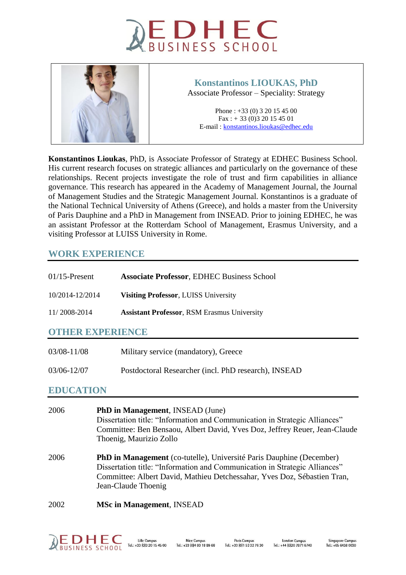



# **Konstantinos LIOUKAS, PhD**

Associate Professor – Speciality: Strategy

Phone : +33 (0) 3 20 15 45 00 Fax : + 33 (0)3 20 15 45 01 E-mail [: konstantinos.lioukas@edhec.edu](mailto:konstantinos.lioukas@edhec.edu) 

**Konstantinos Lioukas**, PhD, is Associate Professor of Strategy at EDHEC Business School. His current research focuses on strategic alliances and particularly on the governance of these relationships. Recent projects investigate the role of trust and firm capabilities in alliance governance. This research has appeared in the Academy of Management Journal, the Journal of Management Studies and the Strategic Management Journal. Konstantinos is a graduate of the National Technical University of Athens (Greece), and holds a master from the University of Paris Dauphine and a PhD in Management from INSEAD. Prior to joining EDHEC, he was an assistant Professor at the Rotterdam School of Management, Erasmus University, and a visiting Professor at LUISS University in Rome.

## **WORK EXPERIENCE**

| $01/15$ -Present | <b>Associate Professor, EDHEC Business School</b>  |  |
|------------------|----------------------------------------------------|--|
| 10/2014-12/2014  | <b>Visiting Professor, LUISS University</b>        |  |
| 11/2008-2014     | <b>Assistant Professor, RSM Erasmus University</b> |  |
| OTHER EXPERIENCE |                                                    |  |

| 03/08-11/08 | Military service (mandatory), Greece                 |
|-------------|------------------------------------------------------|
| 03/06-12/07 | Postdoctoral Researcher (incl. PhD research), INSEAD |

## **EDUCATION**

| 2006 | <b>PhD in Management, INSEAD (June)</b><br>Dissertation title: "Information and Communication in Strategic Alliances"<br>Committee: Ben Bensaou, Albert David, Yves Doz, Jeffrey Reuer, Jean-Claude<br>Thoenig, Maurizio Zollo                               |
|------|--------------------------------------------------------------------------------------------------------------------------------------------------------------------------------------------------------------------------------------------------------------|
| 2006 | <b>PhD in Management</b> (co-tutelle), Université Paris Dauphine (December)<br>Dissertation title: "Information and Communication in Strategic Alliances"<br>Committee: Albert David, Mathieu Detchessahar, Yves Doz, Sébastien Tran,<br>Jean-Claude Thoenig |
| 2002 | <b>MSc in Management, INSEAD</b>                                                                                                                                                                                                                             |

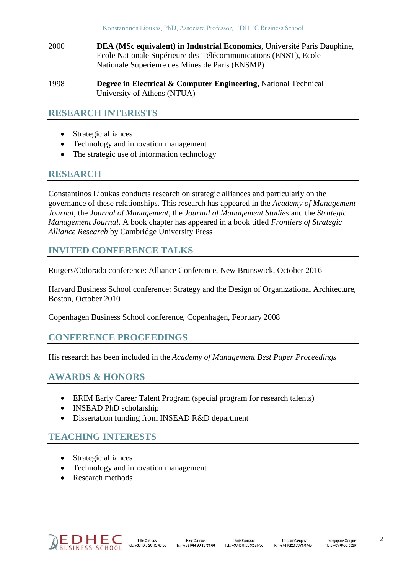- 2000 **DEA (MSc equivalent) in Industrial Economics**, Université Paris Dauphine, Ecole Nationale Supérieure des Télécommunications (ENST), Ecole Nationale Supérieure des Mines de Paris (ENSMP)
- 1998 **Degree in Electrical & Computer Engineering**, National Technical University of Athens (NTUA)

### **RESEARCH INTERESTS**

- Strategic alliances
- Technology and innovation management
- The strategic use of information technology

# **RESEARCH**

Constantinos Lioukas conducts research on strategic alliances and particularly on the governance of these relationships. This research has appeared in the *Academy of Management Journal*, the *Journal of Management*, the *Journal of Management Studies* and the *Strategic Management Journal*. A book chapter has appeared in a book titled *Frontiers of Strategic Alliance Research* by Cambridge University Press

# **INVITED CONFERENCE TALKS**

Rutgers/Colorado conference: Alliance Conference, New Brunswick, October 2016

Harvard Business School conference: Strategy and the Design of Organizational Architecture, Boston, October 2010

Copenhagen Business School conference, Copenhagen, February 2008

## **CONFERENCE PROCEEDINGS**

His research has been included in the *Academy of Management Best Paper Proceedings*

## **AWARDS & HONORS**

- ERIM Early Career Talent Program (special program for research talents)
- INSEAD PhD scholarship
- Dissertation funding from **INSEAD R&D** department

# **TEACHING INTERESTS**

- Strategic alliances
- Technology and innovation management
- Research methods